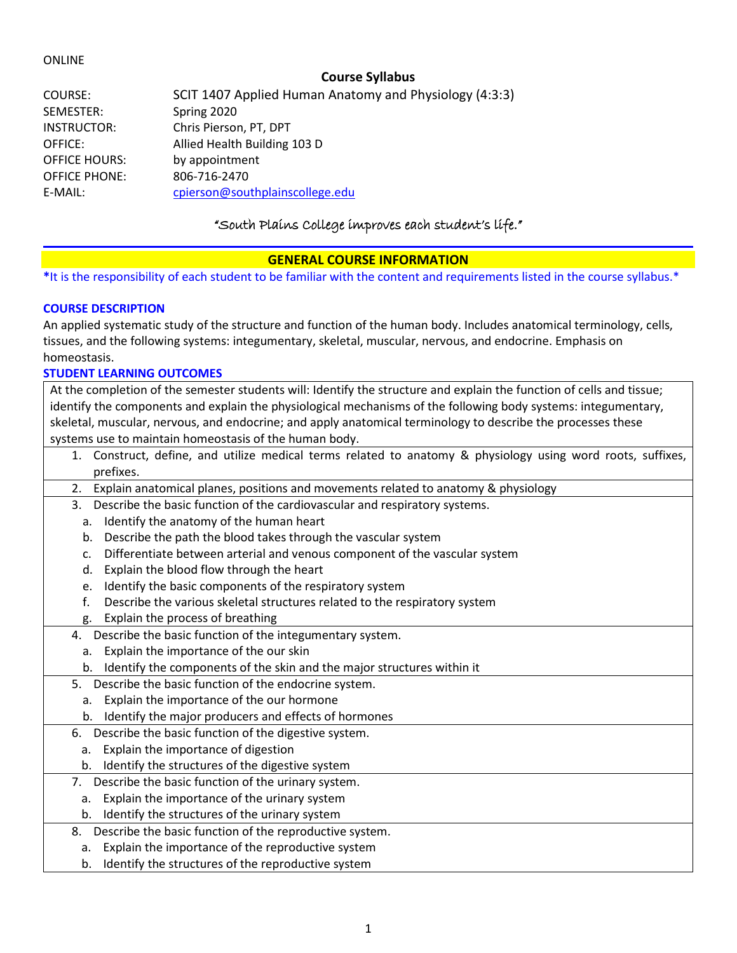### ONLINE

# **Course Syllabus**

| COURSE:              | SCIT 1407 Applied Human Anatomy and Physiology (4:3:3) |
|----------------------|--------------------------------------------------------|
| SEMESTER:            | Spring 2020                                            |
| INSTRUCTOR:          | Chris Pierson, PT, DPT                                 |
| OFFICE:              | Allied Health Building 103 D                           |
| <b>OFFICE HOURS:</b> | by appointment                                         |
| <b>OFFICE PHONE:</b> | 806-716-2470                                           |
| E-MAIL:              | cpierson@southplainscollege.edu                        |

# "South Plains College improves each student's life."

# **GENERAL COURSE INFORMATION**

**\***It is the responsibility of each student to be familiar with the content and requirements listed in the course syllabus.\*

### **COURSE DESCRIPTION**

An applied systematic study of the structure and function of the human body. Includes anatomical terminology, cells, tissues, and the following systems: integumentary, skeletal, muscular, nervous, and endocrine. Emphasis on homeostasis.

### **STUDENT LEARNING OUTCOMES**

At the completion of the semester students will: Identify the structure and explain the function of cells and tissue; identify the components and explain the physiological mechanisms of the following body systems: integumentary, skeletal, muscular, nervous, and endocrine; and apply anatomical terminology to describe the processes these systems use to maintain homeostasis of the human body.

- 1. Construct, define, and utilize medical terms related to anatomy & physiology using word roots, suffixes, prefixes.
- 2. Explain anatomical planes, positions and movements related to anatomy & physiology
- 3. Describe the basic function of the cardiovascular and respiratory systems.
	- a. Identify the anatomy of the human heart
	- b. Describe the path the blood takes through the vascular system
	- c. Differentiate between arterial and venous component of the vascular system
	- d. Explain the blood flow through the heart
	- e. Identify the basic components of the respiratory system
	- f. Describe the various skeletal structures related to the respiratory system
	- g. Explain the process of breathing
- 4. Describe the basic function of the integumentary system.
	- a. Explain the importance of the our skin
	- b. Identify the components of the skin and the major structures within it
- 5. Describe the basic function of the endocrine system.
	- a. Explain the importance of the our hormone
- b. Identify the major producers and effects of hormones
- 6. Describe the basic function of the digestive system.
- a. Explain the importance of digestion
- b. Identify the structures of the digestive system
- 7. Describe the basic function of the urinary system.
	- a. Explain the importance of the urinary system
	- b. Identify the structures of the urinary system
- 8. Describe the basic function of the reproductive system.
	- a. Explain the importance of the reproductive system
	- b. Identify the structures of the reproductive system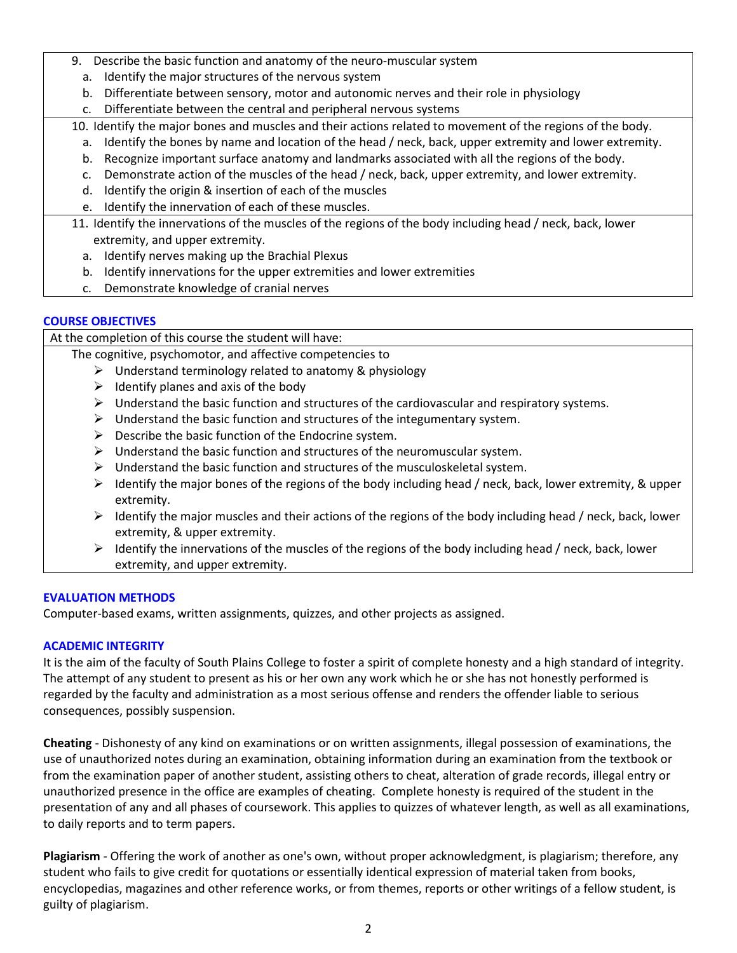- 9. Describe the basic function and anatomy of the neuro-muscular system
	- a. Identify the major structures of the nervous system
	- b. Differentiate between sensory, motor and autonomic nerves and their role in physiology
	- c. Differentiate between the central and peripheral nervous systems

10. Identify the major bones and muscles and their actions related to movement of the regions of the body.

- a. Identify the bones by name and location of the head / neck, back, upper extremity and lower extremity.
- b. Recognize important surface anatomy and landmarks associated with all the regions of the body.
- c. Demonstrate action of the muscles of the head / neck, back, upper extremity, and lower extremity.
- d. Identify the origin & insertion of each of the muscles
- e. Identify the innervation of each of these muscles.
- 11. Identify the innervations of the muscles of the regions of the body including head / neck, back, lower extremity, and upper extremity.
	- a. Identify nerves making up the Brachial Plexus
	- b. Identify innervations for the upper extremities and lower extremities
	- c. Demonstrate knowledge of cranial nerves

# **COURSE OBJECTIVES**

At the completion of this course the student will have:

The cognitive, psychomotor, and affective competencies to

- $\triangleright$  Understand terminology related to anatomy & physiology
	- $\triangleright$  Identify planes and axis of the body
	- $\triangleright$  Understand the basic function and structures of the cardiovascular and respiratory systems.
	- $\triangleright$  Understand the basic function and structures of the integumentary system.
	- $\triangleright$  Describe the basic function of the Endocrine system.
	- $\triangleright$  Understand the basic function and structures of the neuromuscular system.
	- $\triangleright$  Understand the basic function and structures of the musculoskeletal system.
	- $\triangleright$  Identify the major bones of the regions of the body including head / neck, back, lower extremity, & upper extremity.
	- $\triangleright$  Identify the major muscles and their actions of the regions of the body including head / neck, back, lower extremity, & upper extremity.
	- $\triangleright$  Identify the innervations of the muscles of the regions of the body including head / neck, back, lower extremity, and upper extremity.

# **EVALUATION METHODS**

Computer-based exams, written assignments, quizzes, and other projects as assigned.

# **ACADEMIC INTEGRITY**

It is the aim of the faculty of South Plains College to foster a spirit of complete honesty and a high standard of integrity. The attempt of any student to present as his or her own any work which he or she has not honestly performed is regarded by the faculty and administration as a most serious offense and renders the offender liable to serious consequences, possibly suspension.

**Cheating** - Dishonesty of any kind on examinations or on written assignments, illegal possession of examinations, the use of unauthorized notes during an examination, obtaining information during an examination from the textbook or from the examination paper of another student, assisting others to cheat, alteration of grade records, illegal entry or unauthorized presence in the office are examples of cheating. Complete honesty is required of the student in the presentation of any and all phases of coursework. This applies to quizzes of whatever length, as well as all examinations, to daily reports and to term papers.

**Plagiarism** - Offering the work of another as one's own, without proper acknowledgment, is plagiarism; therefore, any student who fails to give credit for quotations or essentially identical expression of material taken from books, encyclopedias, magazines and other reference works, or from themes, reports or other writings of a fellow student, is guilty of plagiarism.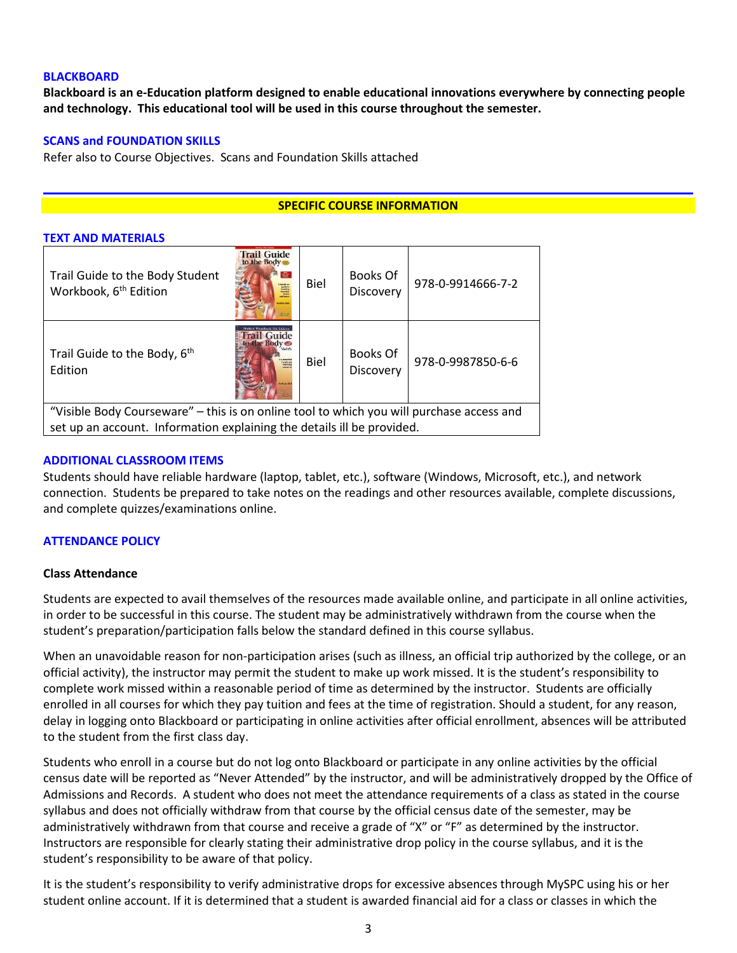### **BLACKBOARD**

**Blackboard is an e-Education platform designed to enable educational innovations everywhere by connecting people and technology. This educational tool will be used in this course throughout the semester.** 

### **SCANS and FOUNDATION SKILLS**

**TEXT AND MATERIALS**

Refer also to Course Objectives. Scans and Foundation Skills attached

### **SPECIFIC COURSE INFORMATION**

|                                                                                          | <u>IEXI AND MAIERIALS</u>                                              |                                                                              |             |                       |                   |
|------------------------------------------------------------------------------------------|------------------------------------------------------------------------|------------------------------------------------------------------------------|-------------|-----------------------|-------------------|
|                                                                                          | Trail Guide to the Body Student<br>Workbook, 6 <sup>th</sup> Edition   | <b>Trail Guide</b><br>to the Body<br>盘<br><b>DO SING</b><br>vines Rio        | <b>Biel</b> | Books Of<br>Discovery | 978-0-9914666-7-2 |
|                                                                                          | Trail Guide to the Body, 6 <sup>th</sup><br>Edition                    | rail Guide<br>An extential<br>Issuels on<br><b><i><u>Andrew Bill</u></i></b> | Biel        | Books Of<br>Discovery | 978-0-9987850-6-6 |
| "Visible Body Courseware" – this is on online tool to which you will purchase access and |                                                                        |                                                                              |             |                       |                   |
|                                                                                          | set up an account. Information explaining the details ill be provided. |                                                                              |             |                       |                   |

#### **ADDITIONAL CLASSROOM ITEMS**

Students should have reliable hardware (laptop, tablet, etc.), software (Windows, Microsoft, etc.), and network connection. Students be prepared to take notes on the readings and other resources available, complete discussions, and complete quizzes/examinations online.

#### **ATTENDANCE POLICY**

#### **Class Attendance**

Students are expected to avail themselves of the resources made available online, and participate in all online activities, in order to be successful in this course. The student may be administratively withdrawn from the course when the student's preparation/participation falls below the standard defined in this course syllabus.

When an unavoidable reason for non-participation arises (such as illness, an official trip authorized by the college, or an official activity), the instructor may permit the student to make up work missed. It is the student's responsibility to complete work missed within a reasonable period of time as determined by the instructor. Students are officially enrolled in all courses for which they pay tuition and fees at the time of registration. Should a student, for any reason, delay in logging onto Blackboard or participating in online activities after official enrollment, absences will be attributed to the student from the first class day.

Students who enroll in a course but do not log onto Blackboard or participate in any online activities by the official census date will be reported as "Never Attended" by the instructor, and will be administratively dropped by the Office of Admissions and Records. A student who does not meet the attendance requirements of a class as stated in the course syllabus and does not officially withdraw from that course by the official census date of the semester, may be administratively withdrawn from that course and receive a grade of "X" or "F" as determined by the instructor. Instructors are responsible for clearly stating their administrative drop policy in the course syllabus, and it is the student's responsibility to be aware of that policy.

It is the student's responsibility to verify administrative drops for excessive absences through MySPC using his or her student online account. If it is determined that a student is awarded financial aid for a class or classes in which the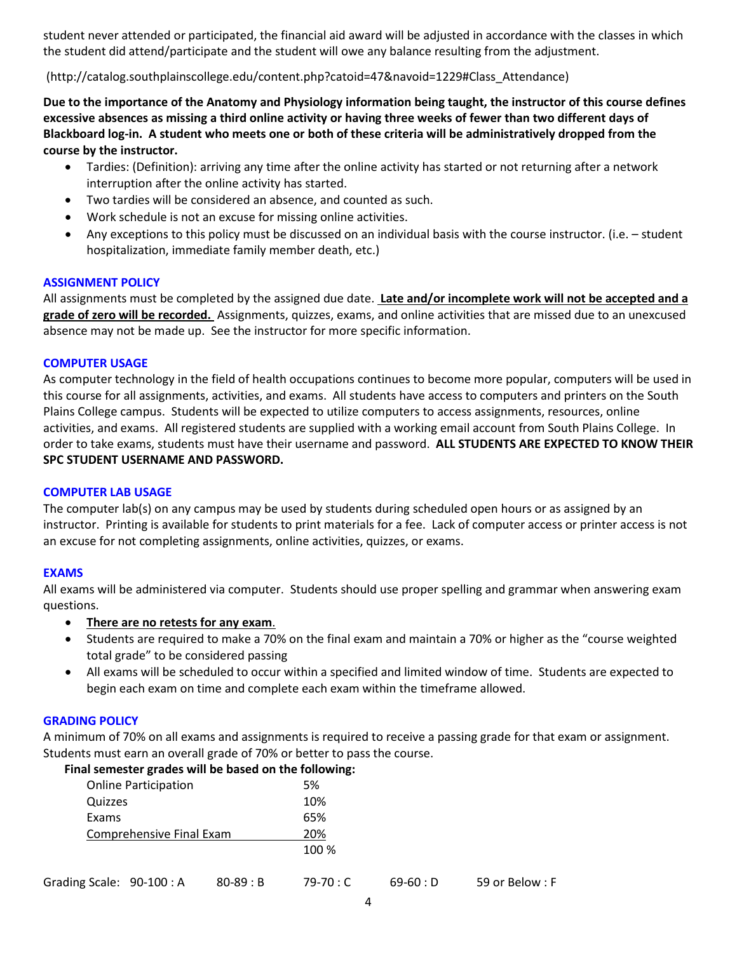student never attended or participated, the financial aid award will be adjusted in accordance with the classes in which the student did attend/participate and the student will owe any balance resulting from the adjustment.

(http://catalog.southplainscollege.edu/content.php?catoid=47&navoid=1229#Class\_Attendance)

**Due to the importance of the Anatomy and Physiology information being taught, the instructor of this course defines excessive absences as missing a third online activity or having three weeks of fewer than two different days of Blackboard log-in. A student who meets one or both of these criteria will be administratively dropped from the course by the instructor.** 

- Tardies: (Definition): arriving any time after the online activity has started or not returning after a network interruption after the online activity has started.
- Two tardies will be considered an absence, and counted as such.
- Work schedule is not an excuse for missing online activities.
- Any exceptions to this policy must be discussed on an individual basis with the course instructor. (i.e. student hospitalization, immediate family member death, etc.)

### **ASSIGNMENT POLICY**

All assignments must be completed by the assigned due date. **Late and/or incomplete work will not be accepted and a grade of zero will be recorded.** Assignments, quizzes, exams, and online activities that are missed due to an unexcused absence may not be made up. See the instructor for more specific information.

### **COMPUTER USAGE**

As computer technology in the field of health occupations continues to become more popular, computers will be used in this course for all assignments, activities, and exams. All students have access to computers and printers on the South Plains College campus. Students will be expected to utilize computers to access assignments, resources, online activities, and exams. All registered students are supplied with a working email account from South Plains College. In order to take exams, students must have their username and password. **ALL STUDENTS ARE EXPECTED TO KNOW THEIR SPC STUDENT USERNAME AND PASSWORD.**

# **COMPUTER LAB USAGE**

The computer lab(s) on any campus may be used by students during scheduled open hours or as assigned by an instructor. Printing is available for students to print materials for a fee. Lack of computer access or printer access is not an excuse for not completing assignments, online activities, quizzes, or exams.

# **EXAMS**

All exams will be administered via computer. Students should use proper spelling and grammar when answering exam questions.

- **There are no retests for any exam**.
- Students are required to make a 70% on the final exam and maintain a 70% or higher as the "course weighted total grade" to be considered passing
- All exams will be scheduled to occur within a specified and limited window of time. Students are expected to begin each exam on time and complete each exam within the timeframe allowed.

# **GRADING POLICY**

A minimum of 70% on all exams and assignments is required to receive a passing grade for that exam or assignment. Students must earn an overall grade of 70% or better to pass the course.

 **Final semester grades will be based on the following:**

|                           | <b>Online Participation</b> |               | 5%         |            |                |
|---------------------------|-----------------------------|---------------|------------|------------|----------------|
| Quizzes                   |                             |               | 10%        |            |                |
| Exams                     |                             |               | 65%        |            |                |
|                           | Comprehensive Final Exam    |               | 20%        |            |                |
|                           |                             |               | 100 %      |            |                |
| Grading Scale: 90-100 : A |                             | $80 - 89 : B$ | $79-70:$ C | $69-60: D$ | 59 or Below: F |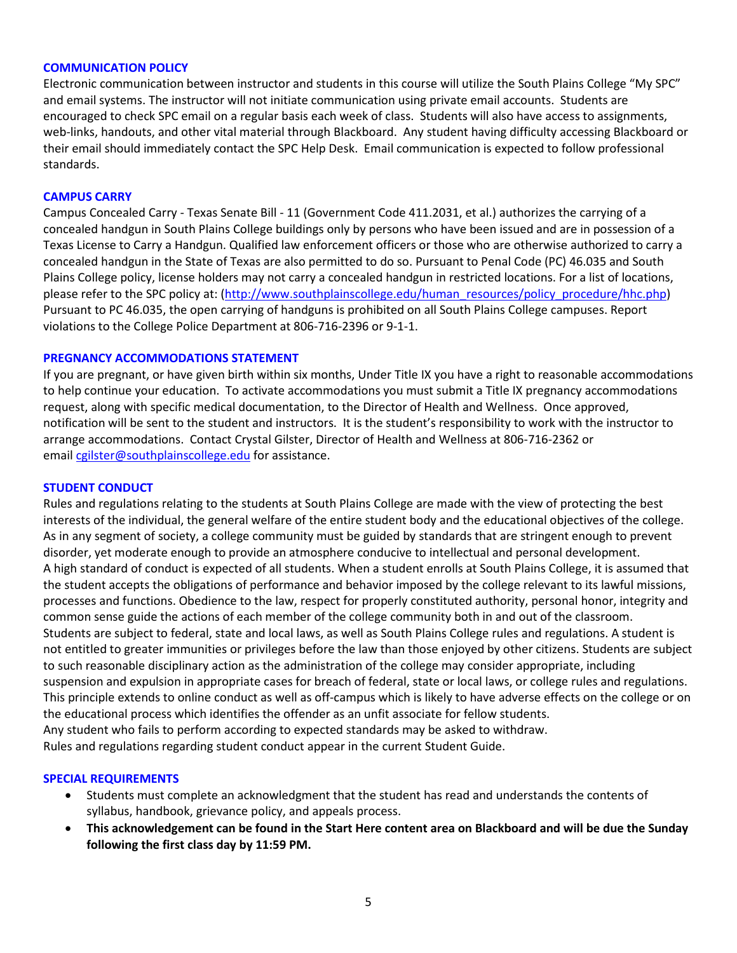#### **COMMUNICATION POLICY**

Electronic communication between instructor and students in this course will utilize the South Plains College "My SPC" and email systems. The instructor will not initiate communication using private email accounts. Students are encouraged to check SPC email on a regular basis each week of class. Students will also have access to assignments, web-links, handouts, and other vital material through Blackboard. Any student having difficulty accessing Blackboard or their email should immediately contact the SPC Help Desk. Email communication is expected to follow professional standards.

#### **CAMPUS CARRY**

Campus Concealed Carry - Texas Senate Bill - 11 (Government Code 411.2031, et al.) authorizes the carrying of a concealed handgun in South Plains College buildings only by persons who have been issued and are in possession of a Texas License to Carry a Handgun. Qualified law enforcement officers or those who are otherwise authorized to carry a concealed handgun in the State of Texas are also permitted to do so. Pursuant to Penal Code (PC) 46.035 and South Plains College policy, license holders may not carry a concealed handgun in restricted locations. For a list of locations, please refer to the SPC policy at: [\(http://www.southplainscollege.edu/human\\_resources/policy\\_procedure/hhc.php\)](http://www.southplainscollege.edu/human_resources/policy_procedure/hhc.php) Pursuant to PC 46.035, the open carrying of handguns is prohibited on all South Plains College campuses. Report violations to the College Police Department at 806-716-2396 or 9-1-1.

#### **PREGNANCY ACCOMMODATIONS STATEMENT**

If you are pregnant, or have given birth within six months, Under Title IX you have a right to reasonable accommodations to help continue your education. To activate accommodations you must submit a Title IX pregnancy accommodations request, along with specific medical documentation, to the Director of Health and Wellness. Once approved, notification will be sent to the student and instructors. It is the student's responsibility to work with the instructor to arrange accommodations. Contact Crystal Gilster, Director of Health and Wellness at 806-716-2362 or email [cgilster@southplainscollege.edu](mailto:cgilster@southplainscollege.edu) for assistance.

#### **STUDENT CONDUCT**

Rules and regulations relating to the students at South Plains College are made with the view of protecting the best interests of the individual, the general welfare of the entire student body and the educational objectives of the college. As in any segment of society, a college community must be guided by standards that are stringent enough to prevent disorder, yet moderate enough to provide an atmosphere conducive to intellectual and personal development. A high standard of conduct is expected of all students. When a student enrolls at South Plains College, it is assumed that the student accepts the obligations of performance and behavior imposed by the college relevant to its lawful missions, processes and functions. Obedience to the law, respect for properly constituted authority, personal honor, integrity and common sense guide the actions of each member of the college community both in and out of the classroom. Students are subject to federal, state and local laws, as well as South Plains College rules and regulations. A student is not entitled to greater immunities or privileges before the law than those enjoyed by other citizens. Students are subject to such reasonable disciplinary action as the administration of the college may consider appropriate, including suspension and expulsion in appropriate cases for breach of federal, state or local laws, or college rules and regulations. This principle extends to online conduct as well as off-campus which is likely to have adverse effects on the college or on the educational process which identifies the offender as an unfit associate for fellow students. Any student who fails to perform according to expected standards may be asked to withdraw. Rules and regulations regarding student conduct appear in the current Student Guide.

#### **SPECIAL REQUIREMENTS**

- Students must complete an acknowledgment that the student has read and understands the contents of syllabus, handbook, grievance policy, and appeals process.
- **This acknowledgement can be found in the Start Here content area on Blackboard and will be due the Sunday following the first class day by 11:59 PM.**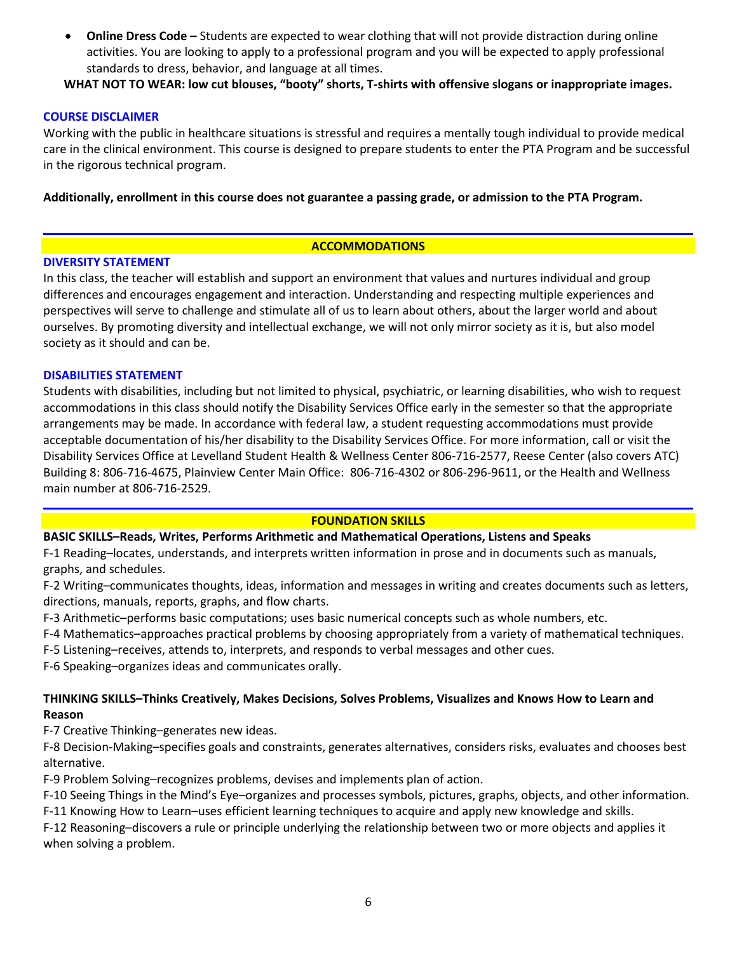• **Online Dress Code –** Students are expected to wear clothing that will not provide distraction during online activities. You are looking to apply to a professional program and you will be expected to apply professional standards to dress, behavior, and language at all times.

**WHAT NOT TO WEAR: low cut blouses, "booty" shorts, T-shirts with offensive slogans or inappropriate images.**

# **COURSE DISCLAIMER**

Working with the public in healthcare situations is stressful and requires a mentally tough individual to provide medical care in the clinical environment. This course is designed to prepare students to enter the PTA Program and be successful in the rigorous technical program.

**Additionally, enrollment in this course does not guarantee a passing grade, or admission to the PTA Program.**

# **ACCOMMODATIONS**

# **DIVERSITY STATEMENT**

In this class, the teacher will establish and support an environment that values and nurtures individual and group differences and encourages engagement and interaction. Understanding and respecting multiple experiences and perspectives will serve to challenge and stimulate all of us to learn about others, about the larger world and about ourselves. By promoting diversity and intellectual exchange, we will not only mirror society as it is, but also model society as it should and can be.

# **DISABILITIES STATEMENT**

Students with disabilities, including but not limited to physical, psychiatric, or learning disabilities, who wish to request accommodations in this class should notify the Disability Services Office early in the semester so that the appropriate arrangements may be made. In accordance with federal law, a student requesting accommodations must provide acceptable documentation of his/her disability to the Disability Services Office. For more information, call or visit the Disability Services Office at Levelland Student Health & Wellness Center 806-716-2577, Reese Center (also covers ATC) Building 8: 806-716-4675, Plainview Center Main Office: 806-716-4302 or 806-296-9611, or the Health and Wellness main number at 806-716-2529.

# **FOUNDATION SKILLS**

# **BASIC SKILLS–Reads, Writes, Performs Arithmetic and Mathematical Operations, Listens and Speaks**

F-1 Reading–locates, understands, and interprets written information in prose and in documents such as manuals, graphs, and schedules.

F-2 Writing–communicates thoughts, ideas, information and messages in writing and creates documents such as letters, directions, manuals, reports, graphs, and flow charts.

F-3 Arithmetic–performs basic computations; uses basic numerical concepts such as whole numbers, etc.

- F-4 Mathematics–approaches practical problems by choosing appropriately from a variety of mathematical techniques.
- F-5 Listening–receives, attends to, interprets, and responds to verbal messages and other cues.

F-6 Speaking–organizes ideas and communicates orally.

# **THINKING SKILLS–Thinks Creatively, Makes Decisions, Solves Problems, Visualizes and Knows How to Learn and Reason**

F-7 Creative Thinking–generates new ideas.

F-8 Decision-Making–specifies goals and constraints, generates alternatives, considers risks, evaluates and chooses best alternative.

F-9 Problem Solving–recognizes problems, devises and implements plan of action.

F-10 Seeing Things in the Mind's Eye–organizes and processes symbols, pictures, graphs, objects, and other information.

F-11 Knowing How to Learn–uses efficient learning techniques to acquire and apply new knowledge and skills.

F-12 Reasoning–discovers a rule or principle underlying the relationship between two or more objects and applies it when solving a problem.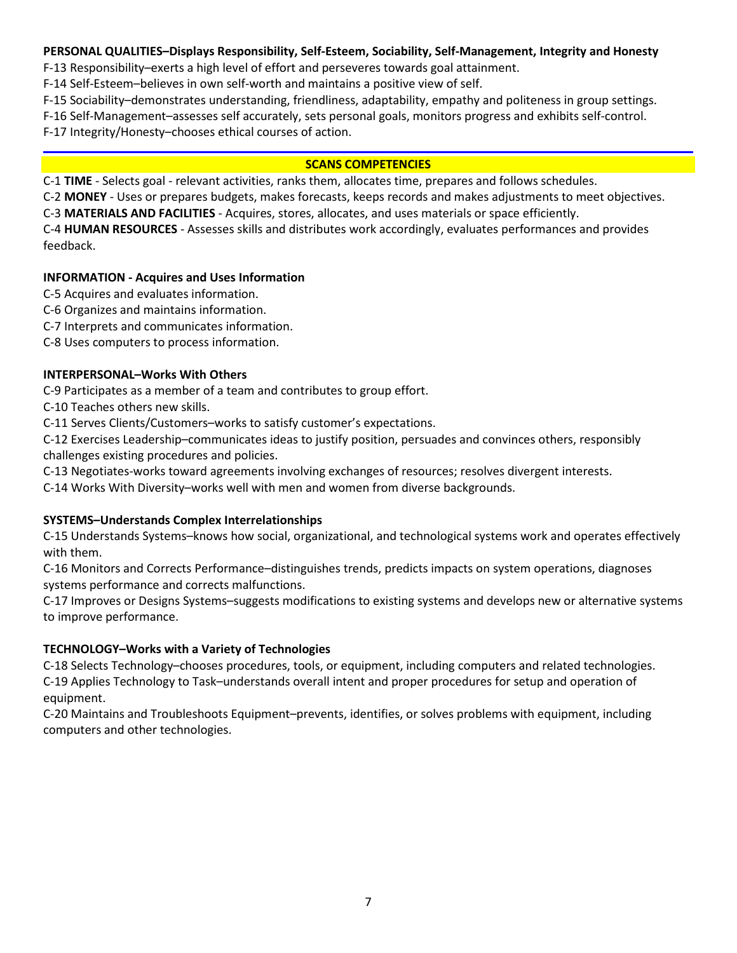# **PERSONAL QUALITIES–Displays Responsibility, Self-Esteem, Sociability, Self-Management, Integrity and Honesty**

F-13 Responsibility–exerts a high level of effort and perseveres towards goal attainment.

F-14 Self-Esteem–believes in own self-worth and maintains a positive view of self.

F-15 Sociability–demonstrates understanding, friendliness, adaptability, empathy and politeness in group settings.

F-16 Self-Management–assesses self accurately, sets personal goals, monitors progress and exhibits self-control.

F-17 Integrity/Honesty–chooses ethical courses of action.

# **SCANS COMPETENCIES**

C-1 **TIME** - Selects goal - relevant activities, ranks them, allocates time, prepares and follows schedules.

C-2 **MONEY** - Uses or prepares budgets, makes forecasts, keeps records and makes adjustments to meet objectives.

C-3 **MATERIALS AND FACILITIES** - Acquires, stores, allocates, and uses materials or space efficiently.

C-4 **HUMAN RESOURCES** - Assesses skills and distributes work accordingly, evaluates performances and provides feedback.

# **INFORMATION - Acquires and Uses Information**

C-5 Acquires and evaluates information.

- C-6 Organizes and maintains information.
- C-7 Interprets and communicates information.

C-8 Uses computers to process information.

# **INTERPERSONAL–Works With Others**

C-9 Participates as a member of a team and contributes to group effort.

C-10 Teaches others new skills.

C-11 Serves Clients/Customers–works to satisfy customer's expectations.

C-12 Exercises Leadership–communicates ideas to justify position, persuades and convinces others, responsibly challenges existing procedures and policies.

C-13 Negotiates-works toward agreements involving exchanges of resources; resolves divergent interests.

C-14 Works With Diversity–works well with men and women from diverse backgrounds.

# **SYSTEMS–Understands Complex Interrelationships**

C-15 Understands Systems–knows how social, organizational, and technological systems work and operates effectively with them.

C-16 Monitors and Corrects Performance–distinguishes trends, predicts impacts on system operations, diagnoses systems performance and corrects malfunctions.

C-17 Improves or Designs Systems–suggests modifications to existing systems and develops new or alternative systems to improve performance.

# **TECHNOLOGY–Works with a Variety of Technologies**

C-18 Selects Technology–chooses procedures, tools, or equipment, including computers and related technologies. C-19 Applies Technology to Task–understands overall intent and proper procedures for setup and operation of equipment.

C-20 Maintains and Troubleshoots Equipment–prevents, identifies, or solves problems with equipment, including computers and other technologies.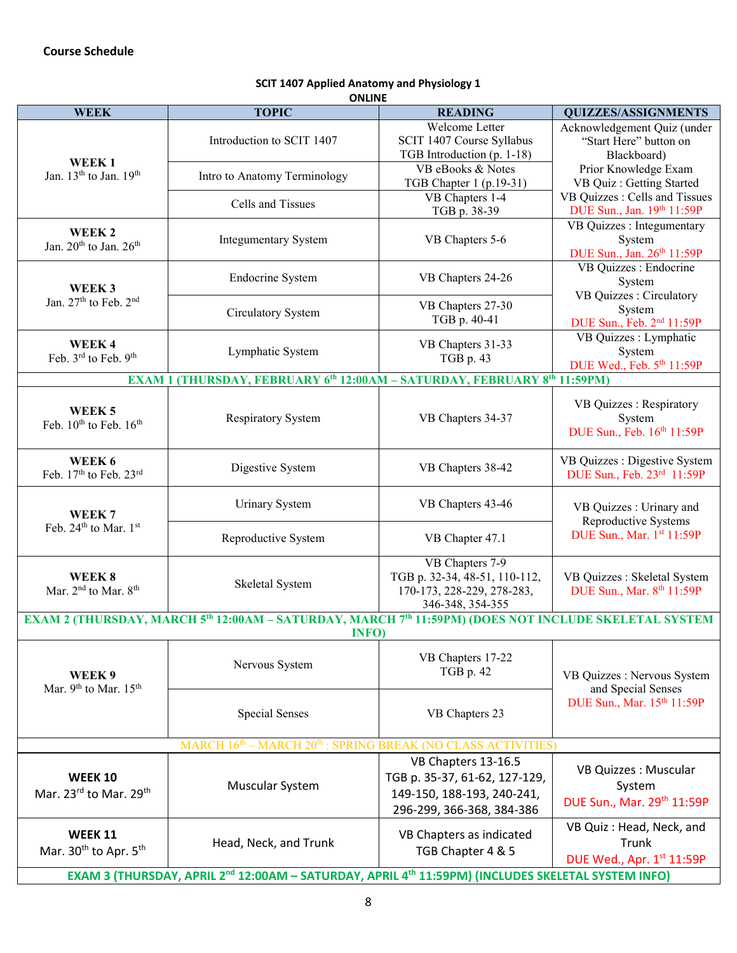| <b>ONLINE</b>                                                |                                                                                                                              |                                   |                                       |  |  |  |
|--------------------------------------------------------------|------------------------------------------------------------------------------------------------------------------------------|-----------------------------------|---------------------------------------|--|--|--|
| <b>WEEK</b>                                                  | <b>TOPIC</b>                                                                                                                 | <b>READING</b>                    | <b>QUIZZES/ASSIGNMENTS</b>            |  |  |  |
|                                                              | Introduction to SCIT 1407                                                                                                    | Welcome Letter                    | Acknowledgement Quiz (under           |  |  |  |
|                                                              |                                                                                                                              | SCIT 1407 Course Syllabus         | "Start Here" button on                |  |  |  |
| WEEK <sub>1</sub>                                            |                                                                                                                              | TGB Introduction (p. 1-18)        | Blackboard)                           |  |  |  |
| Jan. 13 <sup>th</sup> to Jan. 19 <sup>th</sup>               | Intro to Anatomy Terminology                                                                                                 | VB eBooks & Notes                 | Prior Knowledge Exam                  |  |  |  |
|                                                              |                                                                                                                              | TGB Chapter 1 (p.19-31)           | VB Quiz : Getting Started             |  |  |  |
|                                                              | Cells and Tissues                                                                                                            | VB Chapters 1-4                   | VB Quizzes : Cells and Tissues        |  |  |  |
|                                                              |                                                                                                                              | TGB p. 38-39                      | DUE Sun., Jan. 19th 11:59P            |  |  |  |
| WEEK <sub>2</sub>                                            |                                                                                                                              |                                   | VB Quizzes : Integumentary            |  |  |  |
| Jan. 20 <sup>th</sup> to Jan. 26 <sup>th</sup>               | <b>Integumentary System</b>                                                                                                  | VB Chapters 5-6                   | System                                |  |  |  |
|                                                              |                                                                                                                              |                                   | DUE Sun., Jan. 26th 11:59P            |  |  |  |
|                                                              |                                                                                                                              |                                   | VB Quizzes : Endocrine                |  |  |  |
| WEEK <sub>3</sub>                                            | Endocrine System                                                                                                             | VB Chapters 24-26                 | System                                |  |  |  |
| Jan. 27th to Feb. 2nd                                        |                                                                                                                              |                                   | VB Quizzes : Circulatory              |  |  |  |
|                                                              | Circulatory System                                                                                                           | VB Chapters 27-30<br>TGB p. 40-41 | System                                |  |  |  |
|                                                              |                                                                                                                              |                                   | DUE Sun., Feb. 2 <sup>nd</sup> 11:59P |  |  |  |
| WEEK4                                                        |                                                                                                                              | VB Chapters 31-33                 | VB Quizzes : Lymphatic                |  |  |  |
| Feb. 3rd to Feb. 9th                                         | Lymphatic System                                                                                                             | TGB p. 43                         | System                                |  |  |  |
|                                                              |                                                                                                                              |                                   | DUE Wed., Feb. 5th 11:59P             |  |  |  |
|                                                              | <b>EXAM 1 (THURSDAY, FEBRUARY 6th 12:00AM - SATURDAY, FEBRUARY 8th 11:59PM)</b>                                              |                                   |                                       |  |  |  |
|                                                              |                                                                                                                              |                                   | VB Quizzes : Respiratory              |  |  |  |
| WEEK <sub>5</sub>                                            | <b>Respiratory System</b>                                                                                                    | VB Chapters 34-37                 | System                                |  |  |  |
| Feb. 10 <sup>th</sup> to Feb. 16 <sup>th</sup>               |                                                                                                                              |                                   | DUE Sun., Feb. 16th 11:59P            |  |  |  |
|                                                              |                                                                                                                              |                                   |                                       |  |  |  |
| WEEK 6                                                       |                                                                                                                              |                                   | VB Quizzes : Digestive System         |  |  |  |
| Feb. 17th to Feb. 23rd                                       | Digestive System                                                                                                             | VB Chapters 38-42                 | DUE Sun., Feb. 23rd 11:59P            |  |  |  |
|                                                              |                                                                                                                              |                                   |                                       |  |  |  |
|                                                              | <b>Urinary System</b>                                                                                                        | VB Chapters 43-46                 |                                       |  |  |  |
| WEEK <sub>7</sub>                                            |                                                                                                                              |                                   | VB Quizzes : Urinary and              |  |  |  |
| Feb. 24 <sup>th</sup> to Mar. 1st                            |                                                                                                                              |                                   | Reproductive Systems                  |  |  |  |
|                                                              | Reproductive System                                                                                                          | VB Chapter 47.1                   | DUE Sun., Mar. 1st 11:59P             |  |  |  |
|                                                              |                                                                                                                              | VB Chapters 7-9                   |                                       |  |  |  |
| WEEK 8                                                       |                                                                                                                              | TGB p. 32-34, 48-51, 110-112,     | VB Quizzes : Skeletal System          |  |  |  |
| Mar. 2 <sup>nd</sup> to Mar. 8 <sup>th</sup>                 | Skeletal System                                                                                                              | 170-173, 228-229, 278-283,        |                                       |  |  |  |
|                                                              |                                                                                                                              | 346-348, 354-355                  | DUE Sun., Mar. 8th 11:59P             |  |  |  |
|                                                              | EXAM 2 (THURSDAY, MARCH 5 <sup>th</sup> 12:00AM - SATURDAY, MARCH 7 <sup>th</sup> 11:59PM) (DOES NOT INCLUDE SKELETAL SYSTEM |                                   |                                       |  |  |  |
|                                                              | <b>INFO)</b>                                                                                                                 |                                   |                                       |  |  |  |
|                                                              |                                                                                                                              |                                   |                                       |  |  |  |
|                                                              |                                                                                                                              | VB Chapters 17-22                 |                                       |  |  |  |
| WEEK 9                                                       | Nervous System                                                                                                               | TGB p. 42                         | VB Quizzes : Nervous System           |  |  |  |
| Mar. 9th to Mar. 15th                                        |                                                                                                                              |                                   | and Special Senses                    |  |  |  |
|                                                              |                                                                                                                              |                                   | DUE Sun., Mar. 15th 11:59P            |  |  |  |
|                                                              | <b>Special Senses</b>                                                                                                        | VB Chapters 23                    |                                       |  |  |  |
|                                                              |                                                                                                                              |                                   |                                       |  |  |  |
| MARCH 16th - MARCH 20th : SPRING BREAK (NO CLASS ACTIVITIES) |                                                                                                                              |                                   |                                       |  |  |  |
|                                                              |                                                                                                                              | VB Chapters 13-16.5               |                                       |  |  |  |
| <b>WEEK 10</b>                                               | Muscular System                                                                                                              | TGB p. 35-37, 61-62, 127-129,     | VB Quizzes : Muscular<br>System       |  |  |  |
|                                                              |                                                                                                                              |                                   |                                       |  |  |  |
| Mar. 23rd to Mar. 29th                                       |                                                                                                                              | 149-150, 188-193, 240-241,        | DUE Sun., Mar. 29th 11:59P            |  |  |  |
|                                                              |                                                                                                                              | 296-299, 366-368, 384-386         |                                       |  |  |  |
|                                                              |                                                                                                                              |                                   | VB Quiz: Head, Neck, and              |  |  |  |
| <b>WEEK 11</b>                                               | Head, Neck, and Trunk                                                                                                        | VB Chapters as indicated          | Trunk                                 |  |  |  |
| Mar. 30 <sup>th</sup> to Apr. 5 <sup>th</sup>                |                                                                                                                              | TGB Chapter 4 & 5                 | DUE Wed., Apr. 1st 11:59P             |  |  |  |
|                                                              |                                                                                                                              |                                   |                                       |  |  |  |
|                                                              | EXAM 3 (THURSDAY, APRIL 2 <sup>nd</sup> 12:00AM - SATURDAY, APRIL 4 <sup>th</sup> 11:59PM) (INCLUDES SKELETAL SYSTEM INFO)   |                                   |                                       |  |  |  |

# **SCIT 1407 Applied Anatomy and Physiology 1**